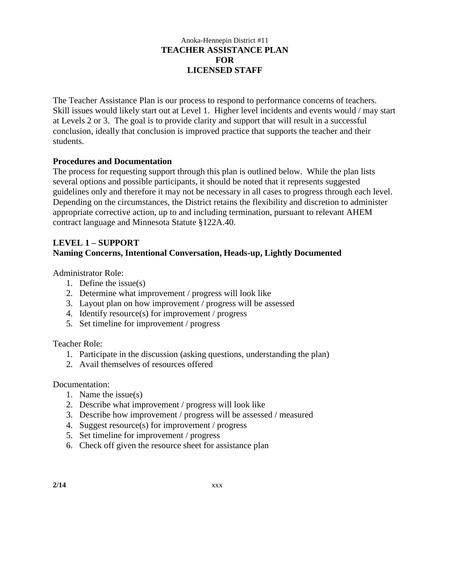### Anoka-Hennepin District #11 **TEACHER ASSISTANCE PLAN FOR LICENSED STAFF**

The Teacher Assistance Plan is our process to respond to performance concerns of teachers. Skill issues would likely start out at Level 1. Higher level incidents and events would / may start at Levels 2 or 3. The goal is to provide clarity and support that will result in a successful conclusion, ideally that conclusion is improved practice that supports the teacher and their students.

# **Procedures and Documentation**

The process for requesting support through this plan is outlined below. While the plan lists several options and possible participants, it should be noted that it represents suggested guidelines only and therefore it may not be necessary in all cases to progress through each level. Depending on the circumstances, the District retains the flexibility and discretion to administer appropriate corrective action, up to and including termination, pursuant to relevant AHEM contract language and Minnesota Statute §122A.40.

# **LEVEL 1 – SUPPORT Naming Concerns, Intentional Conversation, Heads-up, Lightly Documented**

Administrator Role:

- 1. Define the issue(s)
- 2. Determine what improvement / progress will look like
- 3. Layout plan on how improvement / progress will be assessed
- 4. Identify resource(s) for improvement / progress
- 5. Set timeline for improvement / progress

Teacher Role:

- 1. Participate in the discussion (asking questions, understanding the plan)
- 2. Avail themselves of resources offered

Documentation:

- 1. Name the issue(s)
- 2. Describe what improvement / progress will look like
- 3. Describe how improvement / progress will be assessed / measured
- 4. Suggest resource(s) for improvement / progress
- 5. Set timeline for improvement / progress
- 6. Check off given the resource sheet for assistance plan